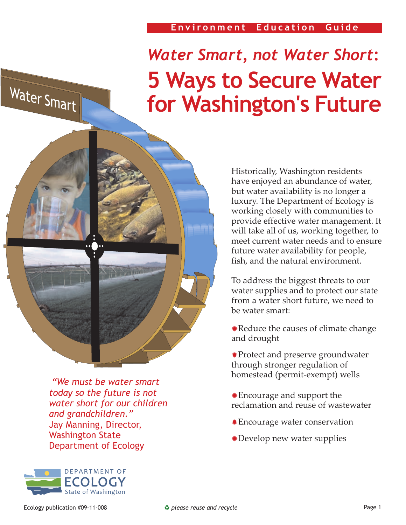## **Environment Education Guide**

# *Water Smart, not Water Short***: 5 Ways to Secure Water for Washington's Future**

 *"We must be water smart today so the future is not water short for our children and grandchildren."* Jay Manning, Director, Washington State Department of Ecology



Historically, Washington residents have enjoyed an abundance of water, but water availability is no longer a luxury. The Department of Ecology is working closely with communities to provide effective water management. It will take all of us, working together, to meet current water needs and to ensure future water availability for people, fish, and the natural environment.

To address the biggest threats to our water supplies and to protect our state from a water short future, we need to be water smart:

Reduce the causes of climate change ✹ and drought

Protect and preserve groundwater ✹ through stronger regulation of homestead (permit-exempt) wells

- Encourage and support the ✹ reclamation and reuse of wastewater
- Encourage water conservation ✹
- Develop new water supplies ✹

Water Smart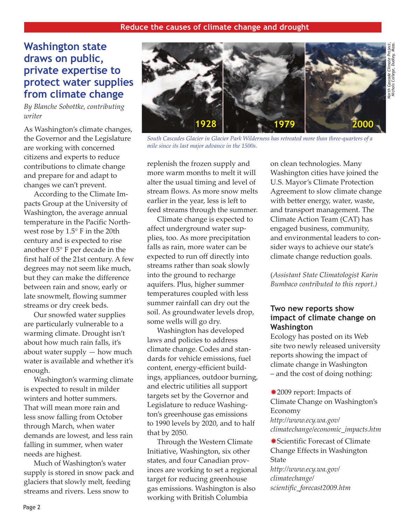# **Washington state draws on public, private expertise to protect water supplies from climate change**

*By Blanche Sobottke, contributing writer*

As Washington's climate changes, the Governor and the Legislature are working with concerned citizens and experts to reduce contributions to climate change and prepare for and adapt to changes we can't prevent.

According to the Climate Impacts Group at the University of Washington, the average annual temperature in the Pacific Northwest rose by 1.5° F in the 20th century and is expected to rise another 0.5° F per decade in the first half of the 21st century. A few degrees may not seem like much, but they can make the difference between rain and snow, early or late snowmelt, flowing summer streams or dry creek beds.

Our snowfed water supplies are particularly vulnerable to a warming climate. Drought isn't about how much rain falls, it's about water supply — how much water is available and whether it's enough.

Washington's warming climate is expected to result in milder winters and hotter summers. That will mean more rain and less snow falling from October through March, when water demands are lowest, and less rain falling in summer, when water needs are highest.

Much of Washington's water supply is stored in snow pack and glaciers that slowly melt, feeding streams and rivers. Less snow to



*South Cascades Glacier in Glacier Park Wilderness has retreated more than three-quarters of a mile since its last major advance in the 1500s.*

replenish the frozen supply and more warm months to melt it will alter the usual timing and level of stream flows. As more snow melts earlier in the year, less is left to feed streams through the summer.

Climate change is expected to affect underground water supplies, too. As more precipitation falls as rain, more water can be expected to run off directly into streams rather than soak slowly into the ground to recharge aquifers. Plus, higher summer temperatures coupled with less summer rainfall can dry out the soil. As groundwater levels drop, some wells will go dry.

Washington has developed laws and policies to address climate change. Codes and standards for vehicle emissions, fuel content, energy-efficient buildings, appliances, outdoor burning, and electric utilities all support targets set by the Governor and Legislature to reduce Washington's greenhouse gas emissions to 1990 levels by 2020, and to half that by 2050.

Through the Western Climate Initiative, Washington, six other states, and four Canadian provinces are working to set a regional target for reducing greenhouse gas emissions. Washington is also working with British Columbia

on clean technologies. Many Washington cities have joined the U.S. Mayor's Climate Protection Agreement to slow climate change with better energy, water, waste, and transport management. The Climate Action Team (CAT) has engaged business, community, and environmental leaders to consider ways to achieve our state's climate change reduction goals.

(*Assistant State Climatologist Karin Bumbaco contributed to this report.)*

## **Two new reports show impact of climate change on Washington**

Ecology has posted on its Web site two newly released university reports showing the impact of climate change in Washington – and the cost of doing nothing:

2009 report: Impacts of ✹ Climate Change on Washington's Economy *http://www.ecy.wa.gov/ climatechange/economic\_impacts.htm*

Scientific Forecast of Climate ✹ Change Effects in Washington State *http://www.ecy.wa.gov/ climatechange/ [scientific\\_forecast2009.htm](http://www.ecy.wa.gov/climatechange/scientific_forecast2009.htm)*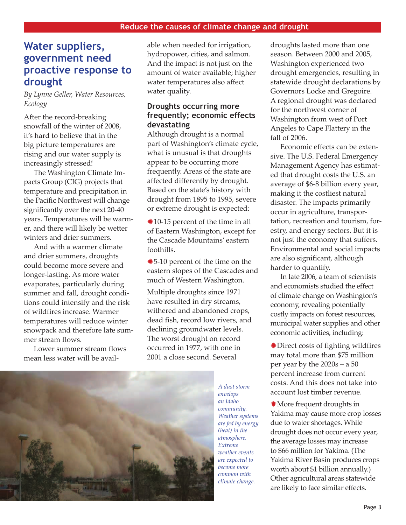# **Water suppliers, government need proactive response to drought**

*By Lynne Geller, Water Resources, Ecology*

After the record-breaking snowfall of the winter of 2008, it's hard to believe that in the big picture temperatures are rising and our water supply is increasingly stressed!

The Washington Climate Impacts Group (CIG) projects that temperature and precipitation in the Pacific Northwest will change significantly over the next 20-40 years. Temperatures will be warmer, and there will likely be wetter winters and drier summers.

And with a warmer climate and drier summers, droughts could become more severe and longer-lasting. As more water evaporates, particularly during summer and fall, drought conditions could intensify and the risk of wildfires increase. Warmer temperatures will reduce winter snowpack and therefore late summer stream flows.

Lower summer stream flows mean less water will be available when needed for irrigation, hydropower, cities, and salmon. And the impact is not just on the amount of water available; higher water temperatures also affect water quality.

## **Droughts occurring more frequently; economic effects devastating**

Although drought is a normal part of Washington's climate cycle, what is unusual is that droughts appear to be occurring more frequently. Areas of the state are affected differently by drought. Based on the state's history with drought from 1895 to 1995, severe or extreme drought is expected:

10-15 percent of the time in all ✹ of Eastern Washington, except for the Cascade Mountains' eastern foothills.

5-10 percent of the time on the ✹ eastern slopes of the Cascades and much of Western Washington.

Multiple droughts since 1971 have resulted in dry streams, withered and abandoned crops, dead fish, record low rivers, and declining groundwater levels. The worst drought on record occurred in 1977, with one in 2001 a close second. Several



*A dust storm envelops an Idaho community. Weather systems are fed by energy (heat) in the atmosphere. Extreme weather events are expected to become more common with climate change.*

droughts lasted more than one season. Between 2000 and 2005, Washington experienced two drought emergencies, resulting in statewide drought declarations by Governors Locke and Gregoire. A regional drought was declared for the northwest corner of Washington from west of Port Angeles to Cape Flattery in the fall of 2006.

Economic effects can be extensive. The U.S. Federal Emergency Management Agency has estimated that drought costs the U.S. an average of \$6-8 billion every year, making it the costliest natural disaster. The impacts primarily occur in agriculture, transportation, recreation and tourism, forestry, and energy sectors. But it is not just the economy that suffers. Environmental and social impacts are also significant, although harder to quantify.

In late 2006, a team of scientists and economists studied the effect of climate change on Washington's economy, revealing potentially costly impacts on forest resources, municipal water supplies and other economic activities, including:

Direct costs of fighting wildfires ✹ may total more than \$75 million per year by the 2020s – a 50 percent increase from current costs. And this does not take into account lost timber revenue.

More frequent droughts in ✹ Yakima may cause more crop losses due to water shortages. While drought does not occur every year, the average losses may increase to \$66 million for Yakima. (The Yakima River Basin produces crops worth about \$1 billion annually.) Other agricultural areas statewide are likely to face similar effects.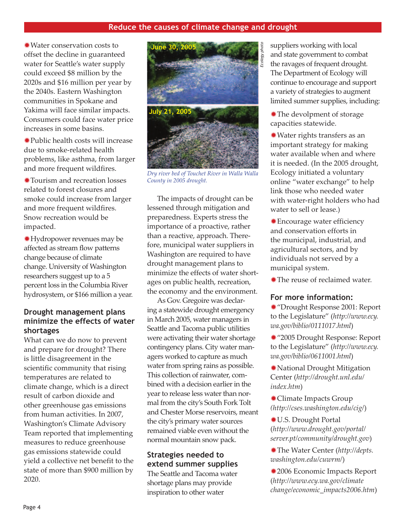Water conservation costs to ✹ offset the decline in guaranteed water for Seattle's water supply could exceed \$8 million by the 2020s and \$16 million per year by the 2040s. Eastern Washington communities in Spokane and Yakima will face similar impacts. Consumers could face water price increases in some basins.

Public health costs will increase ✹ due to smoke-related health problems, like asthma, from larger and more frequent wildfires.

Tourism and recreation losses ✹ related to forest closures and smoke could increase from larger and more frequent wildfires. Snow recreation would be impacted.

Hydropower revenues may be ✹ affected as stream flow patterns change because of climate change. University of Washington researchers suggest up to a 5 percent loss in the Columbia River hydrosystem, or \$166 million a year.

## **Drought management plans minimize the effects of water shortages**

What can we do now to prevent and prepare for drought? There is little disagreement in the scientific community that rising temperatures are related to climate change, which is a direct result of carbon dioxide and other greenhouse gas emissions from human activities. In 2007, Washington's Climate Advisory Team reported that implementing measures to reduce greenhouse gas emissions statewide could yield a collective net benefit to the state of more than \$900 million by 2020.



*Dry river bed of Touchet River in Walla Walla County in 2005 drought.*

The impacts of drought can be lessened through mitigation and preparedness. Experts stress the importance of a proactive, rather than a reactive, approach. Therefore, municipal water suppliers in Washington are required to have drought management plans to minimize the effects of water shortages on public health, recreation, the economy and the environment.

As Gov. Gregoire was declaring a statewide drought emergency in March 2005, water managers in Seattle and Tacoma public utilities were activating their water shortage contingency plans. City water managers worked to capture as much water from spring rains as possible. This collection of rainwater, combined with a decision earlier in the year to release less water than normal from the city's South Fork Tolt and Chester Morse reservoirs, meant the city's primary water sources remained viable even without the normal mountain snow pack.

## **Strategies needed to extend summer supplies**

The Seattle and Tacoma water shortage plans may provide inspiration to other water

suppliers working with local and state government to combat the ravages of frequent drought. The Department of Ecology will continue to encourage and support a variety of strategies to augment limited summer supplies, including:

The devolpment of storage ✹ capacities statewide.

Water rights transfers as an ✹ important strategy for making water available when and where it is needed. (In the 2005 drought, Ecology initiated a voluntary online "water exchange" to help link those who needed water with water-right holders who had water to sell or lease.)

Encourage water efficiency ✹ and conservation efforts in the municipal, industrial, and agricultural sectors, and by individuals not served by a municipal system.

The reuse of reclaimed water. ✹

## **For more information:**

"Drought Response 2001: Report ✹ to the Legislature" (*http://www.ecy. wa.gov/biblio/0111017.html*)

"2005 Drought Response: Report ✹ to the Legislature" (*http://www.ecy. wa.gov/biblio/0611001.html*)

National Drought Mitigation ✹ Center (*http://drought.unl.edu/ index.htm*)

Climate Impacts Group ✹ *(http://cses.washington.edu/cig/*)

U.S. Drought Portal ✹ (*http://www.drought.gov/portal/ server.pt/community/drought.gov*)

The Water Center (*http://depts.* ✹ *washington.edu/cuwrm/*)

2006 Economic Impacts Report ✹ (*http://www.ecy.wa.gov/climate change/economic\_impacts2006.htm*)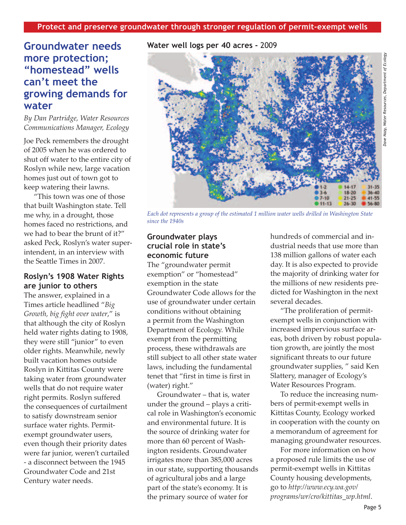# **Groundwater needs more protection; "homestead" wells can't meet the growing demands for water**

*By Dan Partridge, Water Resources Communications Manager, Ecology*

Joe Peck remembers the drought of 2005 when he was ordered to shut off water to the entire city of Roslyn while new, large vacation homes just out of town got to keep watering their lawns.

"This town was one of those that built Washington state. Tell me why, in a drought, those homes faced no restrictions, and we had to bear the brunt of it?" asked Peck, Roslyn's water superintendent, in an interview with the Seattle Times in 2007.

## **Roslyn's 1908 Water Rights are junior to others**

The answer, explained in a Times article headlined "*Big Growth, big fight over water*," is that although the city of Roslyn held water rights dating to 1908, they were still "junior" to even older rights. Meanwhile, newly built vacation homes outside Roslyn in Kittitas County were taking water from groundwater wells that do not require water right permits. Roslyn suffered the consequences of curtailment to satisfy downstream senior surface water rights. Permitexempt groundwater users, even though their priority dates were far junior, weren't curtailed - a disconnect between the 1945 Groundwater Code and 21st Century water needs.

**Water well logs per 40 acres -** 2009



*Each dot represents a group of the estimated 1 million water wells drilled in Washington State since the 1940s*

## **Groundwater plays crucial role in state's economic future**

The "groundwater permit exemption" or "homestead" exemption in the state Groundwater Code allows for the use of groundwater under certain conditions without obtaining a permit from the Washington Department of Ecology. While exempt from the permitting process, these withdrawals are still subject to all other state water laws, including the fundamental tenet that "first in time is first in (water) right."

Groundwater – that is, water under the ground – plays a critical role in Washington's economic and environmental future. It is the source of drinking water for more than 60 percent of Washington residents. Groundwater irrigates more than 385,000 acres in our state, supporting thousands of agricultural jobs and a large part of the state's economy. It is the primary source of water for

hundreds of commercial and industrial needs that use more than 138 million gallons of water each day. It is also expected to provide the majority of drinking water for the millions of new residents predicted for Washington in the next several decades.

"The proliferation of permitexempt wells in conjunction with increased impervious surface areas, both driven by robust population growth, are jointly the most significant threats to our future groundwater supplies, " said Ken Slattery, manager of Ecology's Water Resources Program.

To reduce the increasing numbers of permit-exempt wells in Kittitas County, Ecology worked in cooperation with the county on a memorandum of agreement for managing groundwater resources.

For more information on how a proposed rule limits the use of permit-exempt wells in Kittitas County housing developments, go to *http://www.ecy.wa.gov/ [programs/wr/cro/kittitas\\_wp.html](http://www.ecy.wa.gov/programs/wr/cro/kittitas_wp.html)*.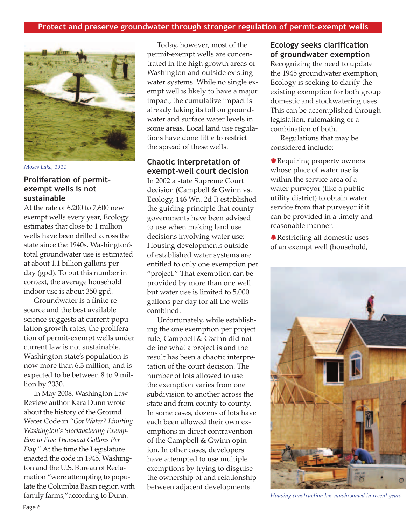

*Moses Lake, 1911*

## **Proliferation of permitexempt wells is not sustainable**

At the rate of 6,200 to 7,600 new exempt wells every year, Ecology estimates that close to 1 million wells have been drilled across the state since the 1940s. Washington's total groundwater use is estimated at about 1.1 billion gallons per day (gpd). To put this number in context, the average household indoor use is about 350 gpd.

Groundwater is a finite resource and the best available science suggests at current population growth rates, the proliferation of permit-exempt wells under current law is not sustainable. Washington state's population is now more than 6.3 million, and is expected to be between 8 to 9 million by 2030.

In May 2008, Washington Law Review author Kara Dunn wrote about the history of the Ground Water Code in "*Got Water? Limiting Washington's Stockwatering Exemption to Five Thousand Gallons Per Day*." At the time the Legislature enacted the code in 1945, Washington and the U.S. Bureau of Reclamation "were attempting to populate the Columbia Basin region with family farms,"according to Dunn.

Today, however, most of the permit-exempt wells are concentrated in the high growth areas of Washington and outside existing water systems. While no single exempt well is likely to have a major impact, the cumulative impact is already taking its toll on groundwater and surface water levels in some areas. Local land use regulations have done little to restrict the spread of these wells.

## **Chaotic interpretation of exempt-well court decision**

In 2002 a state Supreme Court decision (Campbell & Gwinn vs. Ecology, 146 Wn. 2d I) established the guiding principle that county governments have been advised to use when making land use decisions involving water use: Housing developments outside of established water systems are entitled to only one exemption per "project." That exemption can be provided by more than one well but water use is limited to 5,000 gallons per day for all the wells combined.

Unfortunately, while establishing the one exemption per project rule, Campbell & Gwinn did not define what a project is and the result has been a chaotic interpretation of the court decision. The number of lots allowed to use the exemption varies from one subdivision to another across the state and from county to county. In some cases, dozens of lots have each been allowed their own exemptions in direct contravention of the Campbell & Gwinn opinion. In other cases, developers have attempted to use multiple exemptions by trying to disguise the ownership of and relationship between adjacent developments.

## **Ecology seeks clarification of groundwater exemption**

Recognizing the need to update the 1945 groundwater exemption, Ecology is seeking to clarify the existing exemption for both group domestic and stockwatering uses. This can be accomplished through legislation, rulemaking or a combination of both.

Regulations that may be considered include:

Requiring property owners ✹ whose place of water use is within the service area of a water purveyor (like a public utility district) to obtain water service from that purveyor if it can be provided in a timely and reasonable manner.

Restricting all domestic uses ✹ of an exempt well (household,



*Housing construction has mushroomed in recent years.*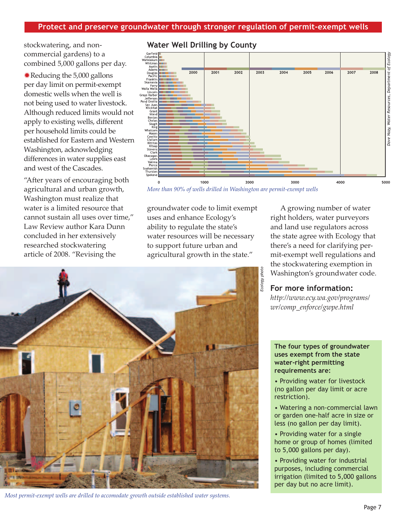stockwatering, and noncommercial gardens) to a combined 5,000 gallons per day.

Reducing the 5,000 gallons ✹ per day limit on permit-exempt domestic wells when the well is not being used to water livestock. Although reduced limits would not apply to existing wells, different per household limits could be established for Eastern and Western Washington, acknowledging differences in water supplies east and west of the Cascades.

"After years of encouraging both agricultural and urban growth, Washington must realize that water is a limited resource that cannot sustain all uses over time," Law Review author Kara Dunn concluded in her extensively researched stockwatering article of 2008. "Revising the



## **Water Well Drilling by County**

*More than 90% of wells drilled in Washington are permit-exempt wells*

groundwater code to limit exempt uses and enhance Ecology's ability to regulate the state's water resources will be necessary to support future urban and agricultural growth in the state."

A growing number of water right holders, water purveyors and land use regulators across the state agree with Ecology that there's a need for clarifying permit-exempt well regulations and the stockwatering exemption in Washington's groundwater code.

## **For more information:**

*[http://www.ecy.wa.gov/programs/](http://www.ecy.wa.gov/programs/wr/comp_enforce/gwpe.html) wr/comp\_enforce/gwpe.html*



 *Most permit-exempt wells are drilled to accomodate growth outside established water systems.*

#### **The four types of groundwater uses exempt from the state water-right permitting requirements are:**

• Providing water for livestock (no gallon per day limit or acre restriction).

• Watering a non-commercial lawn or garden one-half acre in size or less (no gallon per day limit).

• Providing water for a single home or group of homes (limited to 5,000 gallons per day).

• Providing water for industrial purposes, including commercial irrigation (limited to 5,000 gallons per day but no acre limit).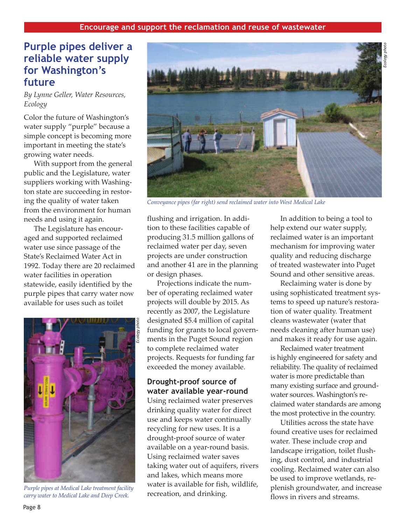## **Purple pipes deliver a reliable water supply for Washington's future**

*By Lynne Geller, Water Resources, Ecology*

Color the future of Washington's water supply "purple" because a simple concept is becoming more important in meeting the state's growing water needs.

With support from the general public and the Legislature, water suppliers working with Washington state are succeeding in restoring the quality of water taken from the environment for human needs and using it again.

The Legislature has encouraged and supported reclaimed water use since passage of the State's Reclaimed Water Act in 1992. Today there are 20 reclaimed water facilities in operation statewide, easily identified by the purple pipes that carry water now available for uses such as toilet



*Purple pipes at Medical Lake treatment facility carry water to Medical Lake and Deep Creek.*



*Conveyance pipes (far right) send reclaimed water into West Medical Lake* 

flushing and irrigation. In addition to these facilities capable of producing 31.5 million gallons of reclaimed water per day, seven projects are under construction and another 41 are in the planning or design phases.

Projections indicate the number of operating reclaimed water projects will double by 2015. As recently as 2007, the Legislature designated \$5.4 million of capital funding for grants to local governments in the Puget Sound region to complete reclaimed water projects. Requests for funding far exceeded the money available.

## **Drought-proof source of water available year-round**

Using reclaimed water preserves drinking quality water for direct use and keeps water continually recycling for new uses. It is a drought-proof source of water available on a year-round basis. Using reclaimed water saves taking water out of aquifers, rivers and lakes, which means more water is available for fish, wildlife, recreation, and drinking.

In addition to being a tool to help extend our water supply, reclaimed water is an important mechanism for improving water quality and reducing discharge of treated wastewater into Puget Sound and other sensitive areas.

Reclaiming water is done by using sophisticated treatment systems to speed up nature's restoration of water quality. Treatment cleans wastewater (water that needs cleaning after human use) and makes it ready for use again.

Reclaimed water treatment is highly engineered for safety and reliability. The quality of reclaimed water is more predictable than many existing surface and groundwater sources. Washington's reclaimed water standards are among the most protective in the country.

Utilities across the state have found creative uses for reclaimed water. These include crop and landscape irrigation, toilet flushing, dust control, and industrial cooling. Reclaimed water can also be used to improve wetlands, replenish groundwater, and increase flows in rivers and streams.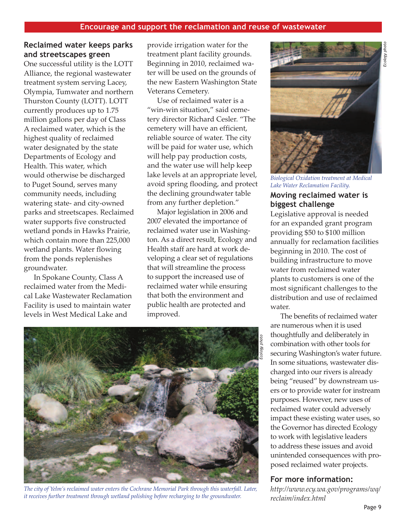## **Reclaimed water keeps parks and streetscapes green**

One successful utility is the LOTT Alliance, the regional wastewater treatment system serving Lacey, Olympia, Tumwater and northern Thurston County (LOTT). LOTT currently produces up to 1.75 million gallons per day of Class A reclaimed water, which is the highest quality of reclaimed water designated by the state Departments of Ecology and Health. This water, which would otherwise be discharged to Puget Sound, serves many community needs, including watering state- and city-owned parks and streetscapes. Reclaimed water supports five constructed wetland ponds in Hawks Prairie, which contain more than 225,000 wetland plants. Water flowing from the ponds replenishes groundwater.

In Spokane County, Class A reclaimed water from the Medical Lake Wastewater Reclamation Facility is used to maintain water levels in West Medical Lake and

provide irrigation water for the treatment plant facility grounds. Beginning in 2010, reclaimed water will be used on the grounds of the new Eastern Washington State Veterans Cemetery.

Use of reclaimed water is a "win-win situation," said cemetery director Richard Cesler. "The cemetery will have an efficient, reliable source of water. The city will be paid for water use, which will help pay production costs, and the water use will help keep lake levels at an appropriate level, avoid spring flooding, and protect the declining groundwater table from any further depletion."

Major legislation in 2006 and 2007 elevated the importance of reclaimed water use in Washington. As a direct result, Ecology and Health staff are hard at work developing a clear set of regulations that will streamline the process to support the increased use of reclaimed water while ensuring that both the environment and public health are protected and improved.



*The city of Yelm's reclaimed water enters the Cochrane Memorial Park through this waterfall. Later, it receives further treatment through wetland polishing before recharging to the groundwater.*



*Biological Oxidation treatment at Medical Lake Water Reclamation Facility.*

## **Moving reclaimed water is biggest challenge**

Legislative approval is needed for an expanded grant program providing \$50 to \$100 million annually for reclamation facilities beginning in 2010. The cost of building infrastructure to move water from reclaimed water plants to customers is one of the most significant challenges to the distribution and use of reclaimed water.

The benefits of reclaimed water are numerous when it is used thoughtfully and deliberately in combination with other tools for securing Washington's water future. In some situations, wastewater discharged into our rivers is already being "reused" by downstream users or to provide water for instream purposes. However, new uses of reclaimed water could adversely impact these existing water uses, so the Governor has directed Ecology to work with legislative leaders to address these issues and avoid unintended consequences with proposed reclaimed water projects.

## **For more information:**

*[http://www.ecy.wa.gov/programs/wq/](http://www.ecy.wa.gov/programs/wq/reclaim/index.html) reclaim/index.html*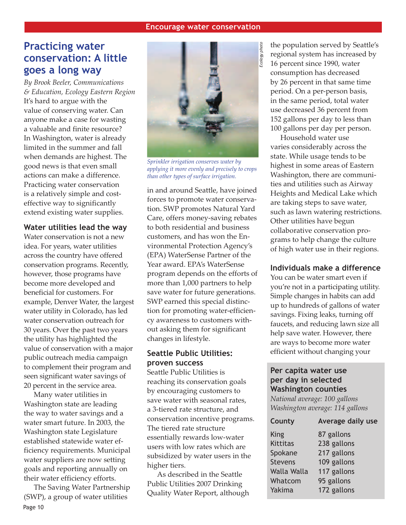# **Practicing water conservation: A little goes a long way**

*By Brook Beeler, Communications & Education, Ecology Eastern Region* It's hard to argue with the value of conserving water. Can anyone make a case for wasting a valuable and finite resource? In Washington, water is already limited in the summer and fall when demands are highest. The good news is that even small actions can make a difference. Practicing water conservation is a relatively simple and costeffective way to significantly extend existing water supplies.

## **Water utilities lead the way**

Water conservation is not a new idea. For years, water utilities across the country have offered conservation programs. Recently, however, those programs have become more developed and beneficial for customers. For example, Denver Water, the largest water utility in Colorado, has led water conservation outreach for 30 years. Over the past two years the utility has highlighted the value of conservation with a major public outreach media campaign to complement their program and seen significant water savings of 20 percent in the service area.

Many water utilities in Washington state are leading the way to water savings and a water smart future. In 2003, the Washington state Legislature established statewide water efficiency requirements. Municipal water suppliers are now setting goals and reporting annually on their water efficiency efforts.

Page 10 The Saving Water Partnership (SWP), a group of water utilities



*Sprinkler irrigation conserves water by applying it more evenly and precisely to crops than other types of surface irrigation.*

in and around Seattle, have joined forces to promote water conservation. SWP promotes Natural Yard Care, offers money-saving rebates to both residential and business customers, and has won the Environmental Protection Agency's (EPA) WaterSense Partner of the Year award. EPA's WaterSense program depends on the efforts of more than 1,000 partners to help save water for future generations. SWP earned this special distinction for promoting water-efficiency awareness to customers without asking them for significant changes in lifestyle.

## **Seattle Public Utilities: proven success**

Seattle Public Utilities is reaching its conservation goals by encouraging customers to save water with seasonal rates, a 3-tiered rate structure, and conservation incentive programs. The tiered rate structure essentially rewards low-water users with low rates which are subsidized by water users in the higher tiers.

As described in the Seattle Public Utilities 2007 Drinking Quality Water Report, although the population served by Seattle's regional system has increased by 16 percent since 1990, water consumption has decreased by 26 percent in that same time period. On a per-person basis, in the same period, total water use decreased 36 percent from 152 gallons per day to less than 100 gallons per day per person.

Household water use varies considerably across the state. While usage tends to be highest in some areas of Eastern Washington, there are communities and utilities such as Airway Heights and Medical Lake which are taking steps to save water, such as lawn watering restrictions. Other utilities have begun collaborative conservation programs to help change the culture of high water use in their regions.

## **Individuals make a difference**

You can be water smart even if you're not in a participating utility. Simple changes in habits can add up to hundreds of gallons of water savings. Fixing leaks, turning off faucets, and reducing lawn size all help save water. However, there are ways to become more water efficient without changing your

## **Per capita water use per day in selected Washington counties**

*National average: 100 gallons Washington average: 114 gallons*

| Average daily use |
|-------------------|
|                   |
|                   |
|                   |
|                   |
|                   |
|                   |
|                   |
|                   |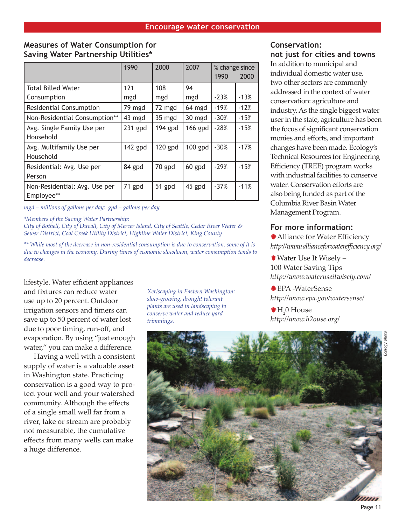## **Measures of Water Consumption for Saving Water Partnership Utilities\***

|                                             | 1990      | 2000      | 2007      | % change since<br>1990 | 2000   |
|---------------------------------------------|-----------|-----------|-----------|------------------------|--------|
| <b>Total Billed Water</b>                   | 121       | 108       | 94        |                        |        |
| Consumption                                 | mgd       | mgd       | mgd       | $-23%$                 | $-13%$ |
| Residential Consumption                     | 79 mgd    | 72 mgd    | 64 mgd    | $-19%$                 | $-12%$ |
| Non-Residential Consumption**               | 43 mgd    | 35 mgd    | 30 mgd    | $-30%$                 | $-15%$ |
| Avg. Single Family Use per<br>Household     | $231$ gpd | $194$ gpd | 166 gpd   | $-28%$                 | $-15%$ |
| Avg. Multifamily Use per<br>Household       | 142 gpd   | $120$ gpd | $100$ gpd | $-30%$                 | $-17%$ |
| Residential: Avg. Use per<br>Person         | 84 gpd    | 70 gpd    | 60 gpd    | $-29%$                 | $-15%$ |
| Non-Residential: Avg. Use per<br>Employee** | 71 gpd    | 51 gpd    | 45 gpd    | $-37%$                 | $-11%$ |

*mgd = millions of gallons per day; gpd = gallons per day*

*\*Members of the Saving Water Partnership:*

*City of Bothell, City of Duvall, City of Mercer Island, City of Seattle, Cedar River Water & Sewer District, Coal Creek Utility District, Highline Water District, King County*

*\*\* While most of the decrease in non-residential consumption is due to conservation, some of it is due to changes in the economy. During times of economic slowdown, water consumption tends to decrease.*

lifestyle. Water efficient appliances and fixtures can reduce water use up to 20 percent. Outdoor irrigation sensors and timers can save up to 50 percent of water lost due to poor timing, run-off, and evaporation. By using "just enough water," you can make a difference.

Having a well with a consistent supply of water is a valuable asset in Washington state. Practicing conservation is a good way to protect your well and your watershed community. Although the effects of a single small well far from a river, lake or stream are probably not measurable, the cumulative effects from many wells can make a huge difference.

*Xeriscaping in Eastern Washington: slow-growing, drought tolerant plants are used in landscaping to conserve water and reduce yard trimmings.*

## **Conservation: not just for cities and towns**

In addition to municipal and individual domestic water use, two other sectors are commonly addressed in the context of water conservation: agriculture and industry. As the single biggest water user in the state, agriculture has been the focus of significant conservation monies and efforts, and important changes have been made. Ecology's Technical Resources for Engineering Efficiency (TREE) program works with industrial facilities to conserve water. Conservation efforts are also being funded as part of the Columbia River Basin Water Management Program.

## **For more information:**

Alliance for Water Efficiency ✹ *http://www.allianceforwaterefficiency.org/*

Water Use It Wisely – ✹ 100 Water Saving Tips *http://www.wateruseitwisely.com/*

EPA -WaterSense ✹ *http://www.epa.gov/watersense/*

 $H_2^0$  House *http://www.h2ouse.org/*